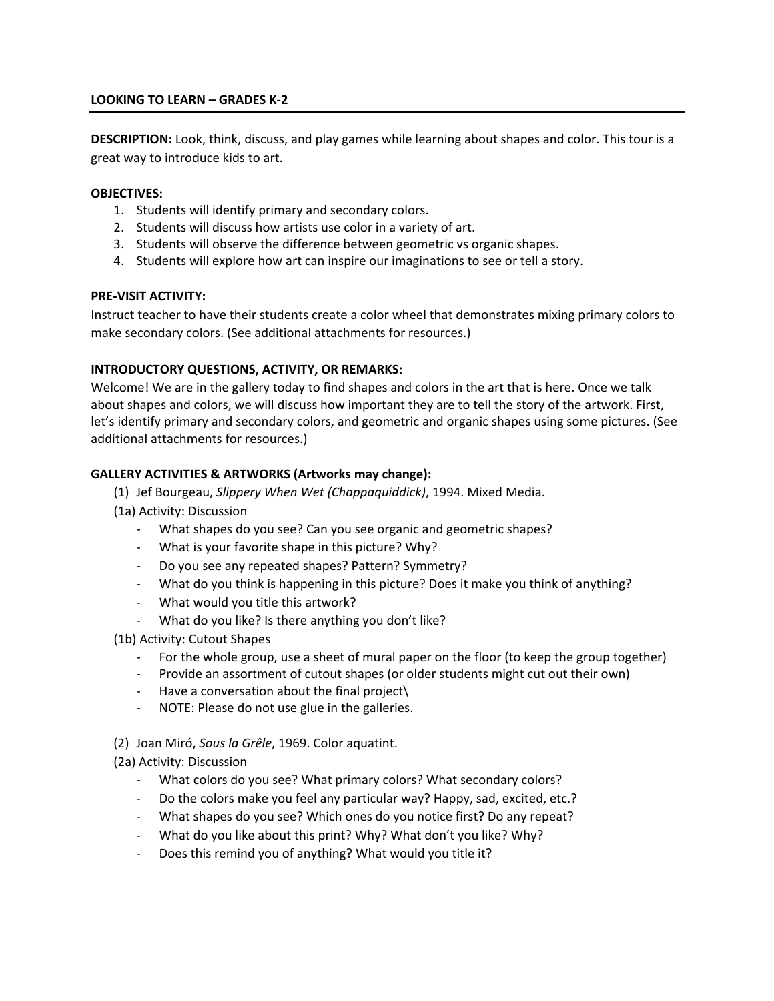# **LOOKING TO LEARN – GRADES K-2**

**DESCRIPTION:** Look, think, discuss, and play games while learning about shapes and color. This tour is a great way to introduce kids to art.

#### **OBJECTIVES:**

- 1. Students will identify primary and secondary colors.
- 2. Students will discuss how artists use color in a variety of art.
- 3. Students will observe the difference between geometric vs organic shapes.
- 4. Students will explore how art can inspire our imaginations to see or tell a story.

#### **PRE-VISIT ACTIVITY:**

Instruct teacher to have their students create a color wheel that demonstrates mixing primary colors to make secondary colors. (See additional attachments for resources.)

# **INTRODUCTORY QUESTIONS, ACTIVITY, OR REMARKS:**

Welcome! We are in the gallery today to find shapes and colors in the art that is here. Once we talk about shapes and colors, we will discuss how important they are to tell the story of the artwork. First, let's identify primary and secondary colors, and geometric and organic shapes using some pictures. (See additional attachments for resources.)

# **GALLERY ACTIVITIES & ARTWORKS (Artworks may change):**

- (1) Jef Bourgeau, *Slippery When Wet (Chappaquiddick)*, 1994. Mixed Media.
- (1a) Activity: Discussion
	- What shapes do you see? Can you see organic and geometric shapes?
	- What is your favorite shape in this picture? Why?
	- Do you see any repeated shapes? Pattern? Symmetry?
	- What do you think is happening in this picture? Does it make you think of anything?
	- What would you title this artwork?
	- What do you like? Is there anything you don't like?

(1b) Activity: Cutout Shapes

- For the whole group, use a sheet of mural paper on the floor (to keep the group together)
- Provide an assortment of cutout shapes (or older students might cut out their own)
- Have a conversation about the final project\
- NOTE: Please do not use glue in the galleries.
- (2) Joan Miró, *Sous la Grêle*, 1969. Color aquatint.

# (2a) Activity: Discussion

- What colors do you see? What primary colors? What secondary colors?
- Do the colors make you feel any particular way? Happy, sad, excited, etc.?
- What shapes do you see? Which ones do you notice first? Do any repeat?
- What do you like about this print? Why? What don't you like? Why?
- Does this remind you of anything? What would you title it?